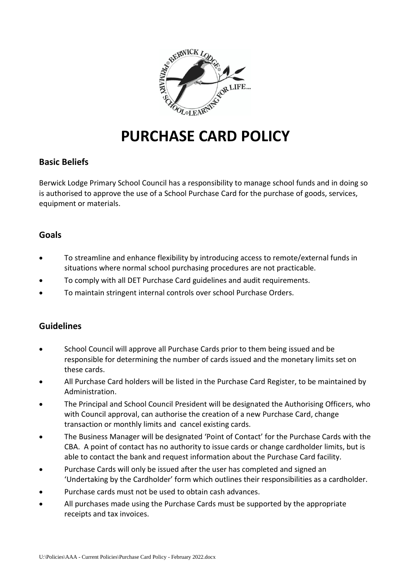

# **PURCHASE CARD POLICY**

# **Basic Beliefs**

Berwick Lodge Primary School Council has a responsibility to manage school funds and in doing so is authorised to approve the use of a School Purchase Card for the purchase of goods, services, equipment or materials.

# **Goals**

- To streamline and enhance flexibility by introducing access to remote/external funds in situations where normal school purchasing procedures are not practicable.
- To comply with all DET Purchase Card guidelines and audit requirements.
- To maintain stringent internal controls over school Purchase Orders.

### **Guidelines**

- School Council will approve all Purchase Cards prior to them being issued and be responsible for determining the number of cards issued and the monetary limits set on these cards.
- All Purchase Card holders will be listed in the Purchase Card Register, to be maintained by Administration.
- The Principal and School Council President will be designated the Authorising Officers, who with Council approval, can authorise the creation of a new Purchase Card, change transaction or monthly limits and cancel existing cards.
- The Business Manager will be designated 'Point of Contact' for the Purchase Cards with the CBA. A point of contact has no authority to issue cards or change cardholder limits, but is able to contact the bank and request information about the Purchase Card facility.
- Purchase Cards will only be issued after the user has completed and signed an 'Undertaking by the Cardholder' form which outlines their responsibilities as a cardholder.
- Purchase cards must not be used to obtain cash advances.
- All purchases made using the Purchase Cards must be supported by the appropriate receipts and tax invoices.